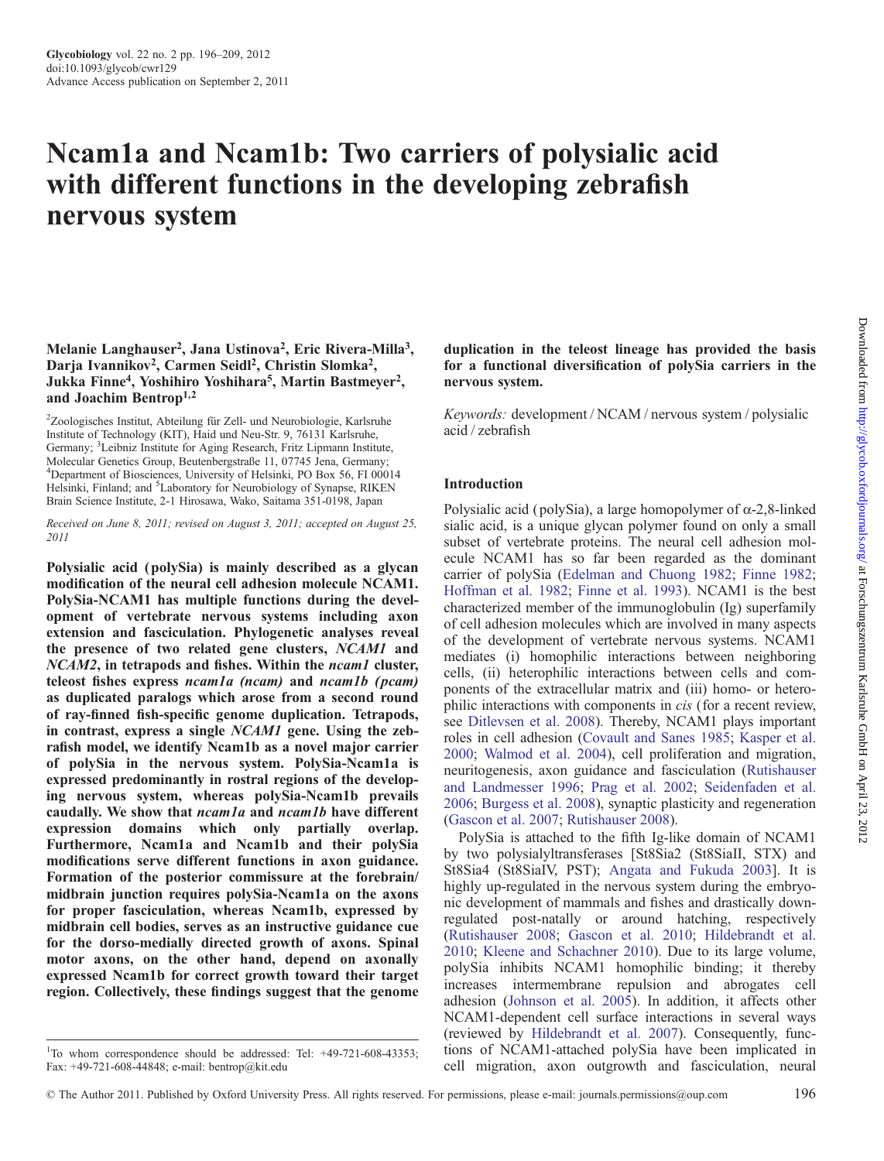# Ncam1a and Ncam1b: Two carriers of polysialic acid with different functions in the developing zebrafish nervous system

# Melanie Langhauser<sup>2</sup>, Jana Ustinova<sup>2</sup>, Eric Rivera-Milla<sup>3</sup>, Darja Ivannikov<sup>2</sup>, Carmen Seidl<sup>2</sup>, Christin Slomka<sup>2</sup>, Jukka Finne<sup>4</sup>, Yoshihiro Yoshihara<sup>5</sup>, Martin Bastmeyer<sup>2</sup>, and Joachim Bentrop1,2

<sup>2</sup>Zoologisches Institut, Abteilung für Zell- und Neurobiologie, Karlsruhe Institute of Technology (KIT), Haid und Neu-Str. 9, 76131 Karlsruhe, Germany; <sup>3</sup>Leibniz Institute for Aging Research, Fritz Lipmann Institute, Molecular Genetics Group, Beutenbergstraße 11, 07745 Jena, Germany; 4 Department of Biosciences, University of Helsinki, PO Box 56, FI 00014 Helsinki, Finland; and <sup>5</sup>Laboratory for Neurobiology of Synapse, RIKEN Brain Science Institute, 2-1 Hirosawa, Wako, Saitama 351-0198, Japan

Received on June 8, 2011; revised on August 3, 2011; accepted on August 25, 2011

Polysialic acid (polySia) is mainly described as a glycan modification of the neural cell adhesion molecule NCAM1. PolySia-NCAM1 has multiple functions during the development of vertebrate nervous systems including axon extension and fasciculation. Phylogenetic analyses reveal the presence of two related gene clusters, NCAM1 and NCAM2, in tetrapods and fishes. Within the *ncam1* cluster, teleost fishes express ncam1a (ncam) and ncam1b ( pcam) as duplicated paralogs which arose from a second round of ray-finned fish-specific genome duplication. Tetrapods, in contrast, express a single NCAM1 gene. Using the zebrafish model, we identify Ncam1b as a novel major carrier of polySia in the nervous system. PolySia-Ncam1a is expressed predominantly in rostral regions of the developing nervous system, whereas polySia-Ncam1b prevails caudally. We show that *ncam1a* and *ncam1b* have different expression domains which only partially overlap. Furthermore, Ncam1a and Ncam1b and their polySia modifications serve different functions in axon guidance. Formation of the posterior commissure at the forebrain/ midbrain junction requires polySia-Ncam1a on the axons for proper fasciculation, whereas Ncam1b, expressed by midbrain cell bodies, serves as an instructive guidance cue for the dorso-medially directed growth of axons. Spinal motor axons, on the other hand, depend on axonally expressed Ncam1b for correct growth toward their target region. Collectively, these findings suggest that the genome

duplication in the teleost lineage has provided the basis for a functional diversification of polySia carriers in the nervous system.

Keywords: development / NCAM / nervous system / polysialic acid / zebrafish

# Introduction

Polysialic acid (polySia), a large homopolymer of  $\alpha$ -2,8-linked sialic acid, is a unique glycan polymer found on only a small subset of vertebrate proteins. The neural cell adhesion molecule NCAM1 has so far been regarded as the dominant carrier of polySia [\(Edelman and Chuong 1982](#page-12-0); [Finne 1982](#page-12-0); [Hoffman et al. 1982;](#page-12-0) [Finne et al. 1993](#page-12-0)). NCAM1 is the best characterized member of the immunoglobulin (Ig) superfamily of cell adhesion molecules which are involved in many aspects of the development of vertebrate nervous systems. NCAM1 mediates (i) homophilic interactions between neighboring cells, (ii) heterophilic interactions between cells and components of the extracellular matrix and (iii) homo- or heterophilic interactions with components in cis (for a recent review, see [Ditlevsen et al. 2008](#page-12-0)). Thereby, NCAM1 plays important roles in cell adhesion ([Covault and Sanes 1985](#page-12-0); [Kasper et al.](#page-12-0) [2000](#page-12-0); [Walmod et al. 2004\)](#page-13-0), cell proliferation and migration, neuritogenesis, axon guidance and fasciculation [\(Rutishauser](#page-13-0) [and Landmesser 1996;](#page-13-0) [Prag et al. 2002](#page-13-0); [Seidenfaden et al.](#page-13-0) [2006](#page-13-0); [Burgess et al. 2008](#page-12-0)), synaptic plasticity and regeneration [\(Gascon et al. 2007;](#page-12-0) [Rutishauser 2008](#page-13-0)).

PolySia is attached to the fifth Ig-like domain of NCAM1 by two polysialyltransferases [St8Sia2 (St8SiaII, STX) and St8Sia4 (St8SiaIV, PST); [Angata and Fukuda 2003](#page-12-0)]. It is highly up-regulated in the nervous system during the embryonic development of mammals and fishes and drastically downregulated post-natally or around hatching, respectively [\(Rutishauser 2008;](#page-13-0) [Gascon et al. 2010;](#page-12-0) [Hildebrandt et al.](#page-12-0) [2010](#page-12-0); [Kleene and Schachner 2010](#page-12-0)). Due to its large volume, polySia inhibits NCAM1 homophilic binding; it thereby increases intermembrane repulsion and abrogates cell adhesion [\(Johnson et al. 2005\)](#page-12-0). In addition, it affects other NCAM1-dependent cell surface interactions in several ways (reviewed by [Hildebrandt et al. 2007\)](#page-12-0). Consequently, functions of NCAM1-attached polySia have been implicated in cell migration, axon outgrowth and fasciculation, neural

<sup>&</sup>lt;sup>1</sup>To whom correspondence should be addressed: Tel: +49-721-608-43353; Fax: +49-721-608-44848; e-mail: bentrop@kit.edu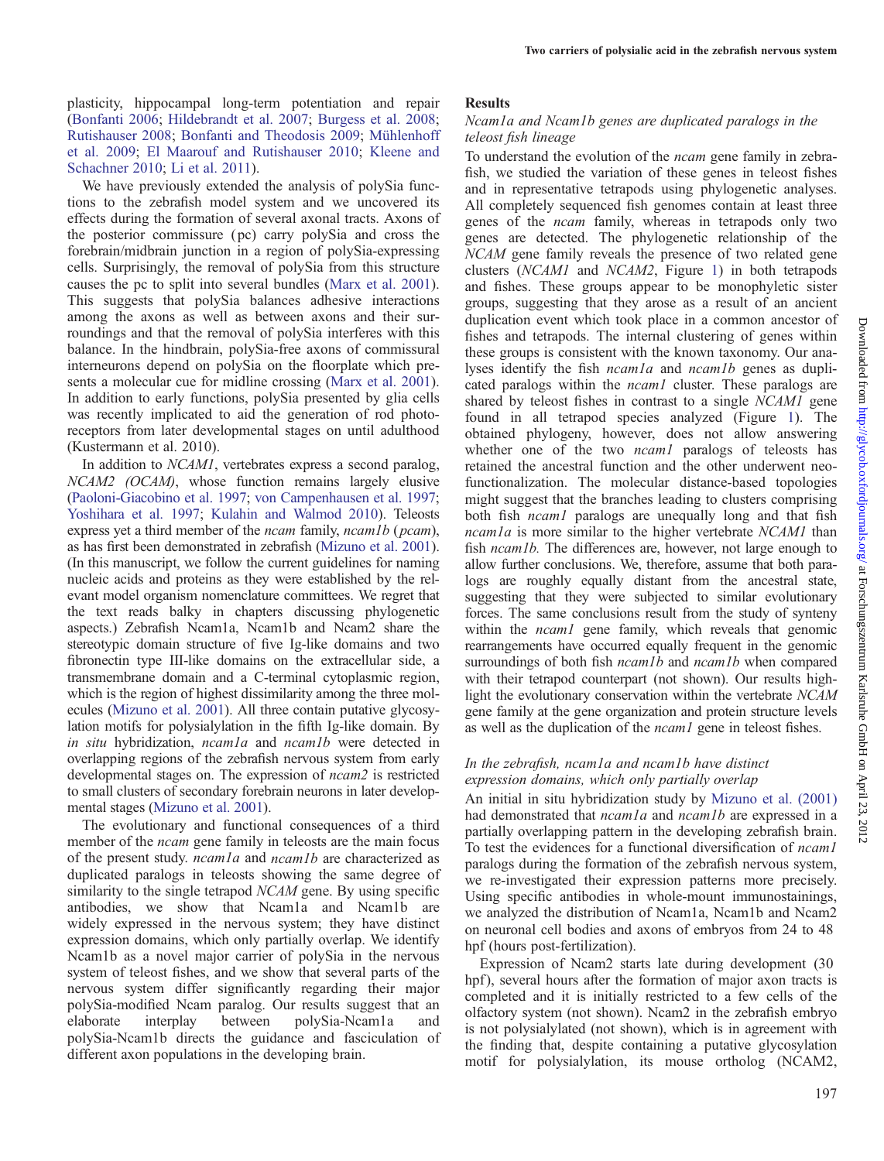plasticity, hippocampal long-term potentiation and repair ([Bonfanti 2006;](#page-12-0) [Hildebrandt et al. 2007;](#page-12-0) [Burgess et al. 2008](#page-12-0); [Rutishauser 2008;](#page-13-0) [Bonfanti and Theodosis 2009;](#page-12-0) [Mühlenhoff](#page-13-0) [et al. 2009;](#page-13-0) [El Maarouf and Rutishauser 2010;](#page-12-0) [Kleene and](#page-12-0) [Schachner 2010](#page-12-0); [Li et al. 2011](#page-13-0)).

We have previously extended the analysis of polySia functions to the zebrafish model system and we uncovered its effects during the formation of several axonal tracts. Axons of the posterior commissure ( pc) carry polySia and cross the forebrain/midbrain junction in a region of polySia-expressing cells. Surprisingly, the removal of polySia from this structure causes the pc to split into several bundles ([Marx et al. 2001](#page-13-0)). This suggests that polySia balances adhesive interactions among the axons as well as between axons and their surroundings and that the removal of polySia interferes with this balance. In the hindbrain, polySia-free axons of commissural interneurons depend on polySia on the floorplate which presents a molecular cue for midline crossing ([Marx et al. 2001](#page-13-0)). In addition to early functions, polySia presented by glia cells was recently implicated to aid the generation of rod photoreceptors from later developmental stages on until adulthood (Kustermann et al. 2010).

In addition to NCAM1, vertebrates express a second paralog, NCAM2 (OCAM), whose function remains largely elusive [\(Paoloni-Giacobino et al. 1997](#page-13-0); [von Campenhausen et al. 1997](#page-13-0); [Yoshihara et al. 1997;](#page-13-0) [Kulahin and Walmod 2010\)](#page-12-0). Teleosts express yet a third member of the *ncam* family, *ncam1b* (*pcam*), as has first been demonstrated in zebrafish [\(Mizuno et al. 2001\)](#page-13-0). (In this manuscript, we follow the current guidelines for naming nucleic acids and proteins as they were established by the relevant model organism nomenclature committees. We regret that the text reads balky in chapters discussing phylogenetic aspects.) Zebrafish Ncam1a, Ncam1b and Ncam2 share the stereotypic domain structure of five Ig-like domains and two fibronectin type III-like domains on the extracellular side, a transmembrane domain and a C-terminal cytoplasmic region, which is the region of highest dissimilarity among the three molecules ([Mizuno et al. 2001](#page-13-0)). All three contain putative glycosylation motifs for polysialylation in the fifth Ig-like domain. By in situ hybridization, ncam1a and ncam1b were detected in overlapping regions of the zebrafish nervous system from early developmental stages on. The expression of ncam2 is restricted to small clusters of secondary forebrain neurons in later developmental stages [\(Mizuno et al. 2001](#page-13-0)).

The evolutionary and functional consequences of a third member of the *ncam* gene family in teleosts are the main focus of the present study. ncam1a and ncam1b are characterized as duplicated paralogs in teleosts showing the same degree of similarity to the single tetrapod NCAM gene. By using specific antibodies, we show that Ncam1a and Ncam1b are widely expressed in the nervous system; they have distinct expression domains, which only partially overlap. We identify Ncam1b as a novel major carrier of polySia in the nervous system of teleost fishes, and we show that several parts of the nervous system differ significantly regarding their major polySia-modified Ncam paralog. Our results suggest that an elaborate interplay between polySia-Ncam1a and polySia-Ncam1b directs the guidance and fasciculation of different axon populations in the developing brain.

#### Results

## Ncam1a and Ncam1b genes are duplicated paralogs in the teleost fish lineage

To understand the evolution of the ncam gene family in zebrafish, we studied the variation of these genes in teleost fishes and in representative tetrapods using phylogenetic analyses. All completely sequenced fish genomes contain at least three genes of the ncam family, whereas in tetrapods only two genes are detected. The phylogenetic relationship of the NCAM gene family reveals the presence of two related gene clusters (NCAM1 and NCAM2, Figure [1](#page-2-0)) in both tetrapods and fishes. These groups appear to be monophyletic sister groups, suggesting that they arose as a result of an ancient duplication event which took place in a common ancestor of fishes and tetrapods. The internal clustering of genes within these groups is consistent with the known taxonomy. Our analyses identify the fish ncam1a and ncam1b genes as duplicated paralogs within the *ncam1* cluster. These paralogs are shared by teleost fishes in contrast to a single NCAM1 gene found in all tetrapod species analyzed (Figure [1\)](#page-2-0). The obtained phylogeny, however, does not allow answering whether one of the two *ncam1* paralogs of teleosts has retained the ancestral function and the other underwent neofunctionalization. The molecular distance-based topologies might suggest that the branches leading to clusters comprising both fish *ncam1* paralogs are unequally long and that fish ncam1a is more similar to the higher vertebrate NCAM1 than fish *ncam1b*. The differences are, however, not large enough to allow further conclusions. We, therefore, assume that both paralogs are roughly equally distant from the ancestral state, suggesting that they were subjected to similar evolutionary forces. The same conclusions result from the study of synteny within the *ncam1* gene family, which reveals that genomic rearrangements have occurred equally frequent in the genomic surroundings of both fish *ncam1b* and *ncam1b* when compared with their tetrapod counterpart (not shown). Our results highlight the evolutionary conservation within the vertebrate NCAM gene family at the gene organization and protein structure levels as well as the duplication of the ncam1 gene in teleost fishes.

## In the zebrafish, ncam1a and ncam1b have distinct expression domains, which only partially overlap

An initial in situ hybridization study by [Mizuno et al. \(2001\)](#page-13-0) had demonstrated that *ncam1a* and *ncam1b* are expressed in a partially overlapping pattern in the developing zebrafish brain. To test the evidences for a functional diversification of ncam1 paralogs during the formation of the zebrafish nervous system, we re-investigated their expression patterns more precisely. Using specific antibodies in whole-mount immunostainings, we analyzed the distribution of Ncam1a, Ncam1b and Ncam2 on neuronal cell bodies and axons of embryos from 24 to 48 hpf (hours post-fertilization).

Expression of Ncam2 starts late during development (30 hpf), several hours after the formation of major axon tracts is completed and it is initially restricted to a few cells of the olfactory system (not shown). Ncam2 in the zebrafish embryo is not polysialylated (not shown), which is in agreement with the finding that, despite containing a putative glycosylation motif for polysialylation, its mouse ortholog (NCAM2,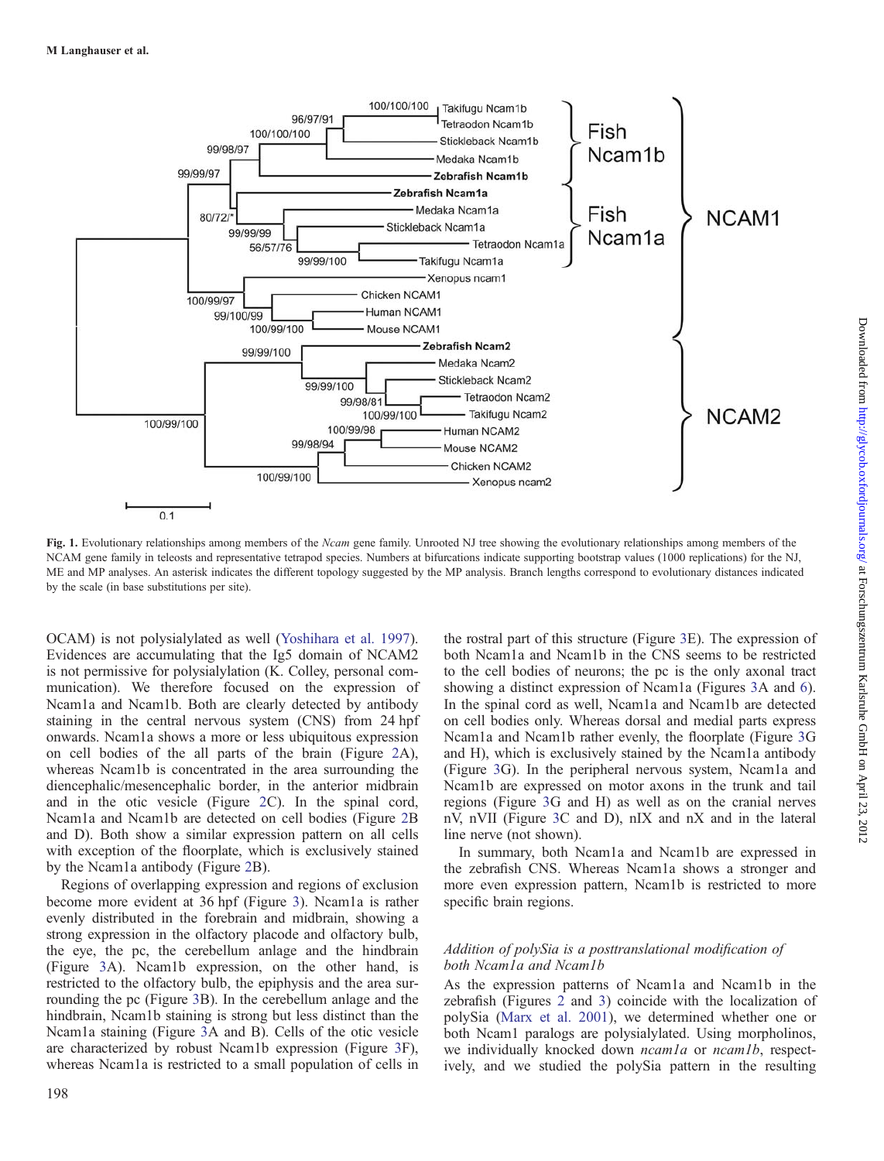<span id="page-2-0"></span>

Fig. 1. Evolutionary relationships among members of the Ncam gene family. Unrooted NJ tree showing the evolutionary relationships among members of the NCAM gene family in teleosts and representative tetrapod species. Numbers at bifurcations indicate supporting bootstrap values (1000 replications) for the NJ, ME and MP analyses. An asterisk indicates the different topology suggested by the MP analysis. Branch lengths correspond to evolutionary distances indicated by the scale (in base substitutions per site).

OCAM) is not polysialylated as well [\(Yoshihara et al. 1997](#page-13-0)). Evidences are accumulating that the Ig5 domain of NCAM2 is not permissive for polysialylation (K. Colley, personal communication). We therefore focused on the expression of Ncam1a and Ncam1b. Both are clearly detected by antibody staining in the central nervous system (CNS) from 24 hpf onwards. Ncam1a shows a more or less ubiquitous expression on cell bodies of the all parts of the brain (Figure [2](#page-3-0)A), whereas Ncam1b is concentrated in the area surrounding the diencephalic/mesencephalic border, in the anterior midbrain and in the otic vesicle (Figure [2C](#page-3-0)). In the spinal cord, Ncam1a and Ncam1b are detected on cell bodies (Figure [2](#page-3-0)B and D). Both show a similar expression pattern on all cells with exception of the floorplate, which is exclusively stained by the Ncam1a antibody (Figure [2](#page-3-0)B).

Regions of overlapping expression and regions of exclusion become more evident at 36 hpf (Figure [3](#page-3-0)). Ncam1a is rather evenly distributed in the forebrain and midbrain, showing a strong expression in the olfactory placode and olfactory bulb, the eye, the pc, the cerebellum anlage and the hindbrain (Figure [3A](#page-3-0)). Ncam1b expression, on the other hand, is restricted to the olfactory bulb, the epiphysis and the area surrounding the pc (Figure [3B](#page-3-0)). In the cerebellum anlage and the hindbrain, Ncam1b staining is strong but less distinct than the Ncam1a staining (Figure [3](#page-3-0)A and B). Cells of the otic vesicle are characterized by robust Ncam1b expression (Figure [3F](#page-3-0)), whereas Ncam1a is restricted to a small population of cells in

198

the rostral part of this structure (Figure [3](#page-3-0)E). The expression of both Ncam1a and Ncam1b in the CNS seems to be restricted to the cell bodies of neurons; the pc is the only axonal tract showing a distinct expression of Ncam1a (Figures [3A](#page-3-0) and [6](#page-6-0)). In the spinal cord as well, Ncam1a and Ncam1b are detected on cell bodies only. Whereas dorsal and medial parts express Ncam1a and Ncam1b rather evenly, the floorplate (Figure [3G](#page-3-0) and H), which is exclusively stained by the Ncam1a antibody (Figure [3](#page-3-0)G). In the peripheral nervous system, Ncam1a and Ncam1b are expressed on motor axons in the trunk and tail regions (Figure [3G](#page-3-0) and H) as well as on the cranial nerves nV, nVII (Figure [3](#page-3-0)C and D), nIX and nX and in the lateral line nerve (not shown).

In summary, both Ncam1a and Ncam1b are expressed in the zebrafish CNS. Whereas Ncam1a shows a stronger and more even expression pattern, Ncam1b is restricted to more specific brain regions.

# Addition of polySia is a posttranslational modification of both Ncam1a and Ncam1b

As the expression patterns of Ncam1a and Ncam1b in the zebrafish (Figures [2](#page-3-0) and [3](#page-3-0)) coincide with the localization of polySia [\(Marx et al. 2001](#page-13-0)), we determined whether one or both Ncam1 paralogs are polysialylated. Using morpholinos, we individually knocked down *ncam1a* or *ncam1b*, respectively, and we studied the polySia pattern in the resulting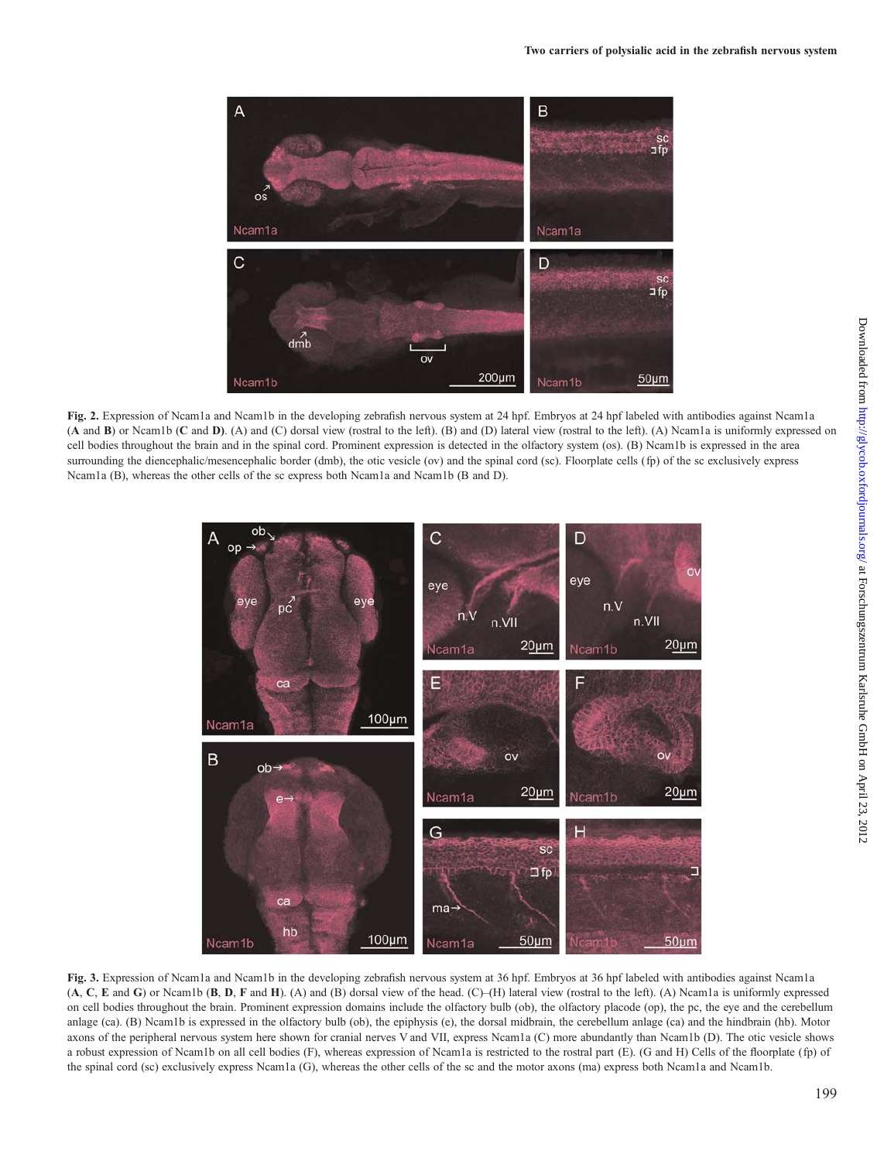<span id="page-3-0"></span>

Fig. 2. Expression of Ncam1a and Ncam1b in the developing zebrafish nervous system at 24 hpf. Embryos at 24 hpf labeled with antibodies against Ncam1a (A and B) or Ncam1b (C and D). (A) and (C) dorsal view (rostral to the left). (B) and (D) lateral view (rostral to the left). (A) Ncam1a is uniformly expressed on cell bodies throughout the brain and in the spinal cord. Prominent expression is detected in the olfactory system (os). (B) Ncam1b is expressed in the area surrounding the diencephalic/mesencephalic border (dmb), the otic vesicle (ov) and the spinal cord (sc). Floorplate cells (fp) of the sc exclusively express Ncam1a (B), whereas the other cells of the sc express both Ncam1a and Ncam1b (B and D).



Fig. 3. Expression of Ncam1a and Ncam1b in the developing zebrafish nervous system at 36 hpf. Embryos at 36 hpf labeled with antibodies against Ncam1a (A, C, E and G) or Ncam1b (B, D, F and H). (A) and (B) dorsal view of the head. (C)–(H) lateral view (rostral to the left). (A) Ncam1a is uniformly expressed on cell bodies throughout the brain. Prominent expression domains include the olfactory bulb (ob), the olfactory placode (op), the pc, the eye and the cerebellum anlage (ca). (B) Ncam1b is expressed in the olfactory bulb (ob), the epiphysis (e), the dorsal midbrain, the cerebellum anlage (ca) and the hindbrain (hb). Motor axons of the peripheral nervous system here shown for cranial nerves V and VII, express Ncam1a (C) more abundantly than Ncam1b (D). The otic vesicle shows a robust expression of Ncam1b on all cell bodies (F), whereas expression of Ncam1a is restricted to the rostral part (E). (G and H) Cells of the floorplate (fp) of the spinal cord (sc) exclusively express Ncam1a (G), whereas the other cells of the sc and the motor axons (ma) express both Ncam1a and Ncam1b.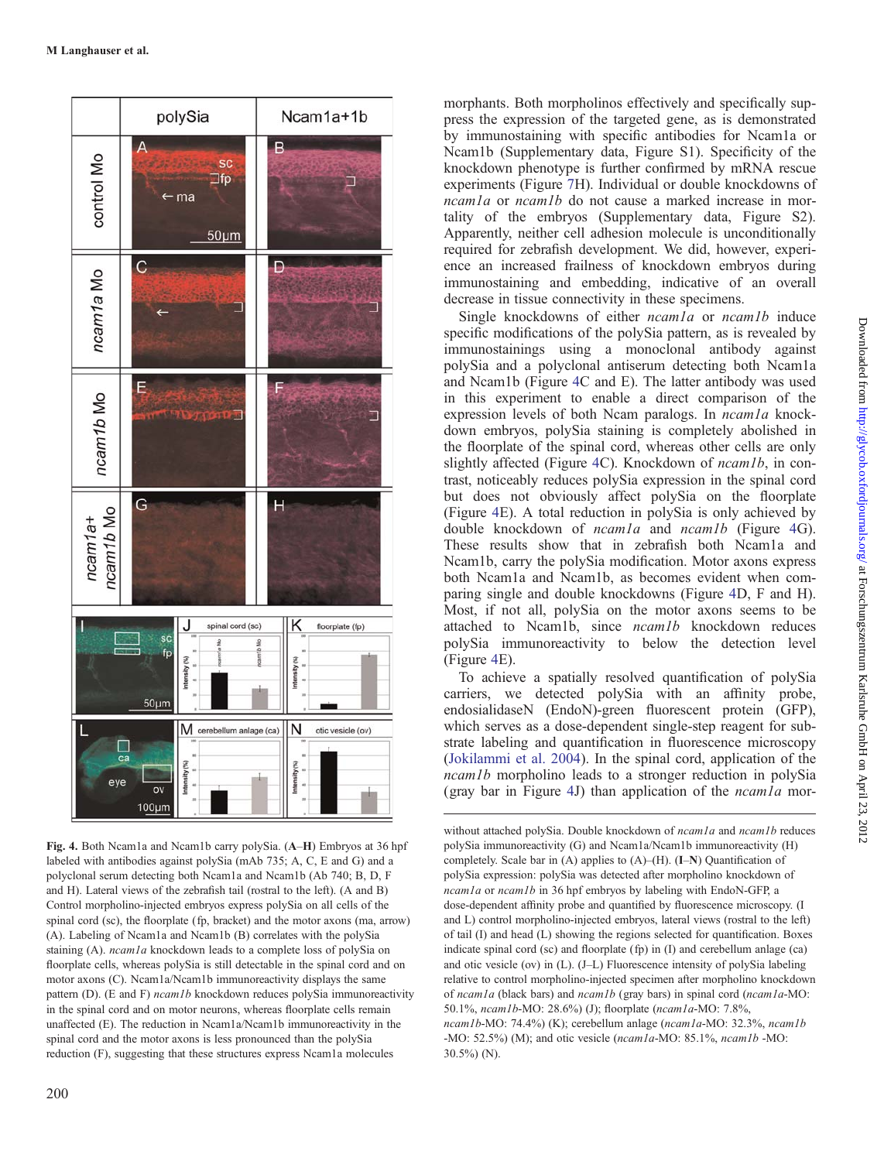<span id="page-4-0"></span>

Fig. 4. Both Ncam1a and Ncam1b carry polySia. (A–H) Embryos at 36 hpf labeled with antibodies against polySia (mAb 735; A, C, E and G) and a polyclonal serum detecting both Ncam1a and Ncam1b (Ab 740; B, D, F and H). Lateral views of the zebrafish tail (rostral to the left). (A and B) Control morpholino-injected embryos express polySia on all cells of the spinal cord (sc), the floorplate (fp, bracket) and the motor axons (ma, arrow) (A). Labeling of Ncam1a and Ncam1b (B) correlates with the polySia staining (A). ncam1a knockdown leads to a complete loss of polySia on floorplate cells, whereas polySia is still detectable in the spinal cord and on motor axons (C). Ncam1a/Ncam1b immunoreactivity displays the same pattern (D). (E and F) *ncam1b* knockdown reduces polySia immunoreactivity in the spinal cord and on motor neurons, whereas floorplate cells remain unaffected (E). The reduction in Ncam1a/Ncam1b immunoreactivity in the spinal cord and the motor axons is less pronounced than the polySia reduction (F), suggesting that these structures express Ncam1a molecules

morphants. Both morpholinos effectively and specifically suppress the expression of the targeted gene, as is demonstrated by immunostaining with specific antibodies for Ncam1a or Ncam1b [\(Supplementary data, Figure S1\)](http://glycob.oxfordjournals.org/lookup/suppl/doi:10.1093/glycob/cwr129/-/DC1). Specificity of the knockdown phenotype is further confirmed by mRNA rescue experiments (Figure [7](#page-7-0)H). Individual or double knockdowns of ncam1a or ncam1b do not cause a marked increase in mortality of the embryos ([Supplementary data, Figure S2](http://glycob.oxfordjournals.org/lookup/suppl/doi:10.1093/glycob/cwr129/-/DC1)). Apparently, neither cell adhesion molecule is unconditionally required for zebrafish development. We did, however, experience an increased frailness of knockdown embryos during immunostaining and embedding, indicative of an overall decrease in tissue connectivity in these specimens.

Single knockdowns of either *ncam1a* or *ncam1b* induce specific modifications of the polySia pattern, as is revealed by immunostainings using a monoclonal antibody against polySia and a polyclonal antiserum detecting both Ncam1a and Ncam1b (Figure 4C and E). The latter antibody was used in this experiment to enable a direct comparison of the expression levels of both Ncam paralogs. In *ncam1a* knockdown embryos, polySia staining is completely abolished in the floorplate of the spinal cord, whereas other cells are only slightly affected (Figure 4C). Knockdown of *ncam1b*, in contrast, noticeably reduces polySia expression in the spinal cord but does not obviously affect polySia on the floorplate (Figure 4E). A total reduction in polySia is only achieved by double knockdown of *ncam1a* and *ncam1b* (Figure 4G). These results show that in zebrafish both Ncam1a and Ncam1b, carry the polySia modification. Motor axons express both Ncam1a and Ncam1b, as becomes evident when comparing single and double knockdowns (Figure 4D, F and H). Most, if not all, polySia on the motor axons seems to be attached to Ncam1b, since ncam1b knockdown reduces polySia immunoreactivity to below the detection level (Figure 4E).

To achieve a spatially resolved quantification of polySia carriers, we detected polySia with an affinity probe, endosialidaseN (EndoN)-green fluorescent protein (GFP), which serves as a dose-dependent single-step reagent for substrate labeling and quantification in fluorescence microscopy [\(Jokilammi et al. 2004](#page-12-0)). In the spinal cord, application of the ncam1b morpholino leads to a stronger reduction in polySia (gray bar in Figure 4J) than application of the  $ncam1a$  mor-

without attached polySia. Double knockdown of  $ncam1a$  and  $ncam1b$  reduces polySia immunoreactivity (G) and Ncam1a/Ncam1b immunoreactivity (H) completely. Scale bar in (A) applies to (A)–(H). (I–N) Quantification of polySia expression: polySia was detected after morpholino knockdown of ncam1a or ncam1b in 36 hpf embryos by labeling with EndoN-GFP, a dose-dependent affinity probe and quantified by fluorescence microscopy. (I and L) control morpholino-injected embryos, lateral views (rostral to the left) of tail (I) and head (L) showing the regions selected for quantification. Boxes indicate spinal cord (sc) and floorplate (fp) in (I) and cerebellum anlage (ca) and otic vesicle (ov) in (L). (J–L) Fluorescence intensity of polySia labeling relative to control morpholino-injected specimen after morpholino knockdown of ncam1a (black bars) and ncam1b (gray bars) in spinal cord (ncam1a-MO: 50.1%, ncam1b-MO: 28.6%) (J); floorplate (ncam1a-MO: 7.8%, ncam1b-MO: 74.4%) (K); cerebellum anlage (ncam1a-MO: 32.3%, ncam1b -MO: 52.5%) (M); and otic vesicle (ncam1a-MO: 85.1%, ncam1b -MO: 30.5%) (N).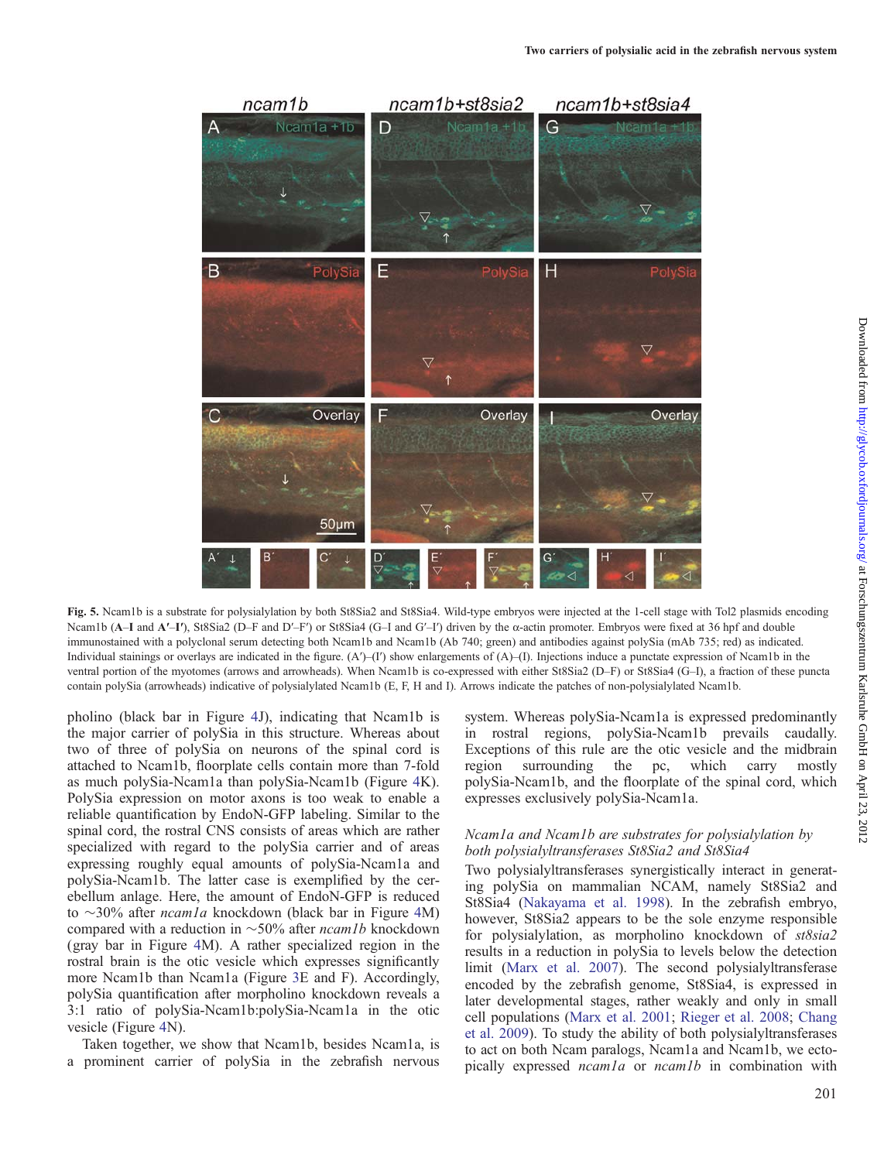<span id="page-5-0"></span>

Fig. 5. Ncam1b is a substrate for polysialylation by both St8Sia2 and St8Sia4. Wild-type embryos were injected at the 1-cell stage with Tol2 plasmids encoding Ncam1b (A–I and A'–I'), St8Sia2 (D–F and D'–F') or St8Sia4 (G–I and G'–I') driven by the  $\alpha$ -actin promoter. Embryos were fixed at 36 hpf and double immunostained with a polyclonal serum detecting both Ncam1b and Ncam1b (Ab 740; green) and antibodies against polySia (mAb 735; red) as indicated. Individual stainings or overlays are indicated in the figure.  $(A')-(I')$  show enlargements of  $(A)$ –(I). Injections induce a punctate expression of Ncam1b in the ventral portion of the myotomes (arrows and arrowheads). When Ncam1b is co-expressed with either St8Sia2 (D–F) or St8Sia4 (G–I), a fraction of these puncta contain polySia (arrowheads) indicative of polysialylated Ncam1b (E, F, H and I). Arrows indicate the patches of non-polysialylated Ncam1b.

pholino (black bar in Figure [4](#page-4-0)J), indicating that Ncam1b is the major carrier of polySia in this structure. Whereas about two of three of polySia on neurons of the spinal cord is attached to Ncam1b, floorplate cells contain more than 7-fold as much polySia-Ncam1a than polySia-Ncam1b (Figure [4](#page-4-0)K). PolySia expression on motor axons is too weak to enable a reliable quantification by EndoN-GFP labeling. Similar to the spinal cord, the rostral CNS consists of areas which are rather specialized with regard to the polySia carrier and of areas expressing roughly equal amounts of polySia-Ncam1a and polySia-Ncam1b. The latter case is exemplified by the cerebellum anlage. Here, the amount of EndoN-GFP is reduced to  $\sim$ 30% after *ncam1a* knockdown (black bar in Figure [4](#page-4-0)M) compared with a reduction in  $\sim$  50% after *ncam1b* knockdown (gray bar in Figure [4M](#page-4-0)). A rather specialized region in the rostral brain is the otic vesicle which expresses significantly more Ncam1b than Ncam1a (Figure [3E](#page-3-0) and F). Accordingly, polySia quantification after morpholino knockdown reveals a 3:1 ratio of polySia-Ncam1b:polySia-Ncam1a in the otic vesicle (Figure [4](#page-4-0)N).

Taken together, we show that Ncam1b, besides Ncam1a, is a prominent carrier of polySia in the zebrafish nervous system. Whereas polySia-Ncam1a is expressed predominantly in rostral regions, polySia-Ncam1b prevails caudally. Exceptions of this rule are the otic vesicle and the midbrain region surrounding the pc, which carry mostly polySia-Ncam1b, and the floorplate of the spinal cord, which expresses exclusively polySia-Ncam1a.

## Ncam1a and Ncam1b are substrates for polysialylation by both polysialyltransferases St8Sia2 and St8Sia4

Two polysialyltransferases synergistically interact in generating polySia on mammalian NCAM, namely St8Sia2 and St8Sia4 ([Nakayama et al. 1998](#page-13-0)). In the zebrafish embryo, however, St8Sia2 appears to be the sole enzyme responsible for polysialylation, as morpholino knockdown of st8sia2 results in a reduction in polySia to levels below the detection limit [\(Marx et al. 2007\)](#page-13-0). The second polysialyltransferase encoded by the zebrafish genome, St8Sia4, is expressed in later developmental stages, rather weakly and only in small cell populations ([Marx et al. 2001](#page-13-0); [Rieger et al. 2008;](#page-13-0) [Chang](#page-12-0) [et al. 2009](#page-12-0)). To study the ability of both polysialyltransferases to act on both Ncam paralogs, Ncam1a and Ncam1b, we ectopically expressed ncam1a or ncam1b in combination with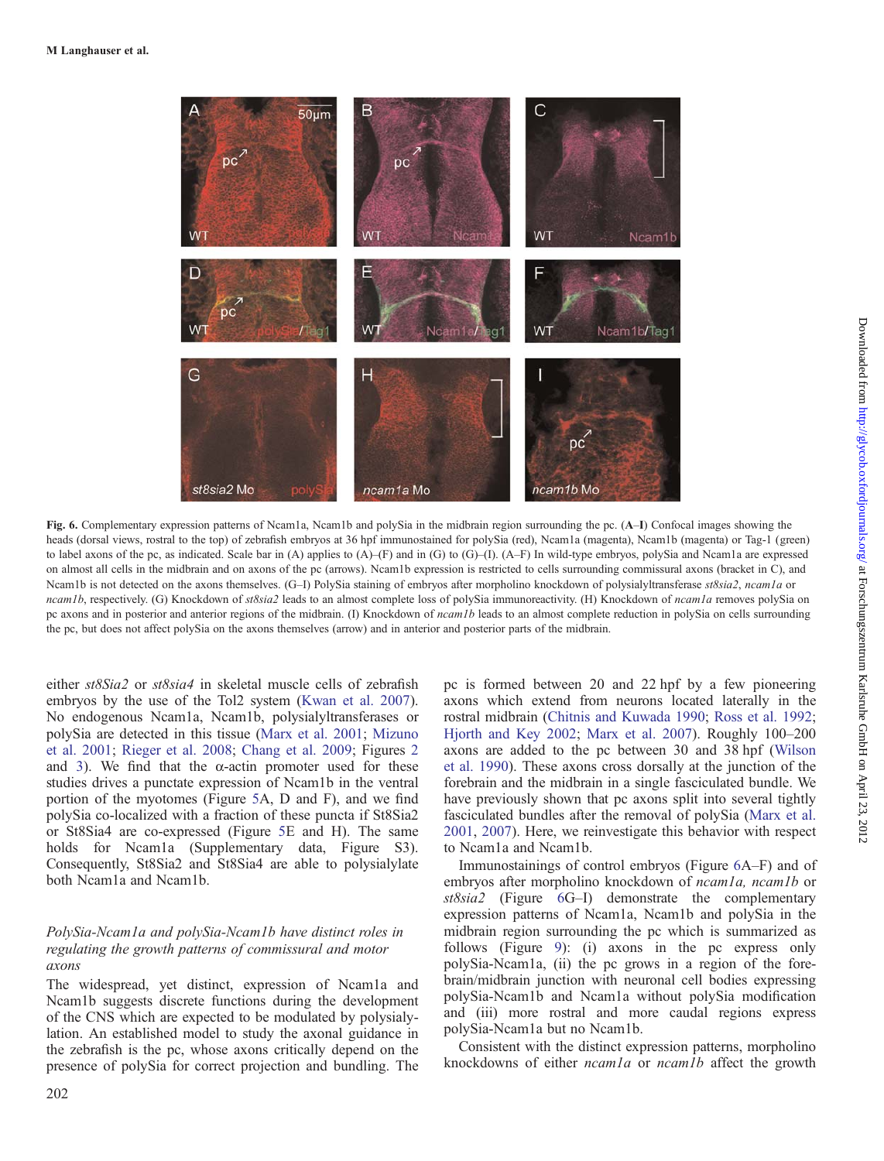<span id="page-6-0"></span>

Fig. 6. Complementary expression patterns of Ncam1a, Ncam1b and polySia in the midbrain region surrounding the pc. (A–I) Confocal images showing the heads (dorsal views, rostral to the top) of zebrafish embryos at 36 hpf immunostained for polySia (red), Ncam1a (magenta), Ncam1b (magenta) or Tag-1 (green) to label axons of the pc, as indicated. Scale bar in (A) applies to  $(A)$ –(F) and in (G) to (G)–(I).  $(A-F)$  In wild-type embryos, polySia and Ncam1a are expressed on almost all cells in the midbrain and on axons of the pc (arrows). Ncam1b expression is restricted to cells surrounding commissural axons (bracket in C), and Ncam1b is not detected on the axons themselves. (G–I) PolySia staining of embryos after morpholino knockdown of polysialyltransferase st8sia2, ncam1a or ncam1b, respectively. (G) Knockdown of st8sia2 leads to an almost complete loss of polySia immunoreactivity. (H) Knockdown of ncam1a removes polySia on pc axons and in posterior and anterior regions of the midbrain. (I) Knockdown of *ncam1b* leads to an almost complete reduction in polySia on cells surrounding the pc, but does not affect polySia on the axons themselves (arrow) and in anterior and posterior parts of the midbrain.

either st8Sia2 or st8sia4 in skeletal muscle cells of zebrafish embryos by the use of the Tol2 system [\(Kwan et al. 2007](#page-12-0)). No endogenous Ncam1a, Ncam1b, polysialyltransferases or polySia are detected in this tissue ([Marx et al. 2001;](#page-13-0) [Mizuno](#page-13-0) [et al. 2001;](#page-13-0) [Rieger et al. 2008](#page-13-0); [Chang et al. 2009](#page-12-0); Figures [2](#page-3-0) and [3](#page-3-0)). We find that the  $\alpha$ -actin promoter used for these studies drives a punctate expression of Ncam1b in the ventral portion of the myotomes (Figure [5A](#page-5-0), D and F), and we find polySia co-localized with a fraction of these puncta if St8Sia2 or St8Sia4 are co-expressed (Figure [5E](#page-5-0) and H). The same holds for Ncam1a ([Supplementary data, Figure S3](http://glycob.oxfordjournals.org/lookup/suppl/doi:10.1093/glycob/cwr129/-/DC1)). Consequently, St8Sia2 and St8Sia4 are able to polysialylate both Ncam1a and Ncam1b.

## PolySia-Ncam1a and polySia-Ncam1b have distinct roles in regulating the growth patterns of commissural and motor axons

The widespread, yet distinct, expression of Ncam1a and Ncam1b suggests discrete functions during the development of the CNS which are expected to be modulated by polysialylation. An established model to study the axonal guidance in the zebrafish is the pc, whose axons critically depend on the presence of polySia for correct projection and bundling. The

202

pc is formed between 20 and 22 hpf by a few pioneering axons which extend from neurons located laterally in the rostral midbrain [\(Chitnis and Kuwada 1990](#page-12-0); [Ross et al. 1992](#page-13-0); [Hjorth and Key 2002](#page-12-0); [Marx et al. 2007](#page-13-0)). Roughly 100–200 axons are added to the pc between 30 and 38 hpf ([Wilson](#page-13-0) [et al. 1990\)](#page-13-0). These axons cross dorsally at the junction of the forebrain and the midbrain in a single fasciculated bundle. We have previously shown that pc axons split into several tightly fasciculated bundles after the removal of polySia ([Marx et al.](#page-13-0) [2001](#page-13-0), [2007\)](#page-13-0). Here, we reinvestigate this behavior with respect to Ncam1a and Ncam1b.

Immunostainings of control embryos (Figure 6A–F) and of embryos after morpholino knockdown of *ncam1a*, *ncam1b* or st8sia2 (Figure 6G–I) demonstrate the complementary expression patterns of Ncam1a, Ncam1b and polySia in the midbrain region surrounding the pc which is summarized as follows (Figure [9\)](#page-9-0): (i) axons in the pc express only polySia-Ncam1a, (ii) the pc grows in a region of the forebrain/midbrain junction with neuronal cell bodies expressing polySia-Ncam1b and Ncam1a without polySia modification and (iii) more rostral and more caudal regions express polySia-Ncam1a but no Ncam1b.

Consistent with the distinct expression patterns, morpholino knockdowns of either *ncam1a* or *ncam1b* affect the growth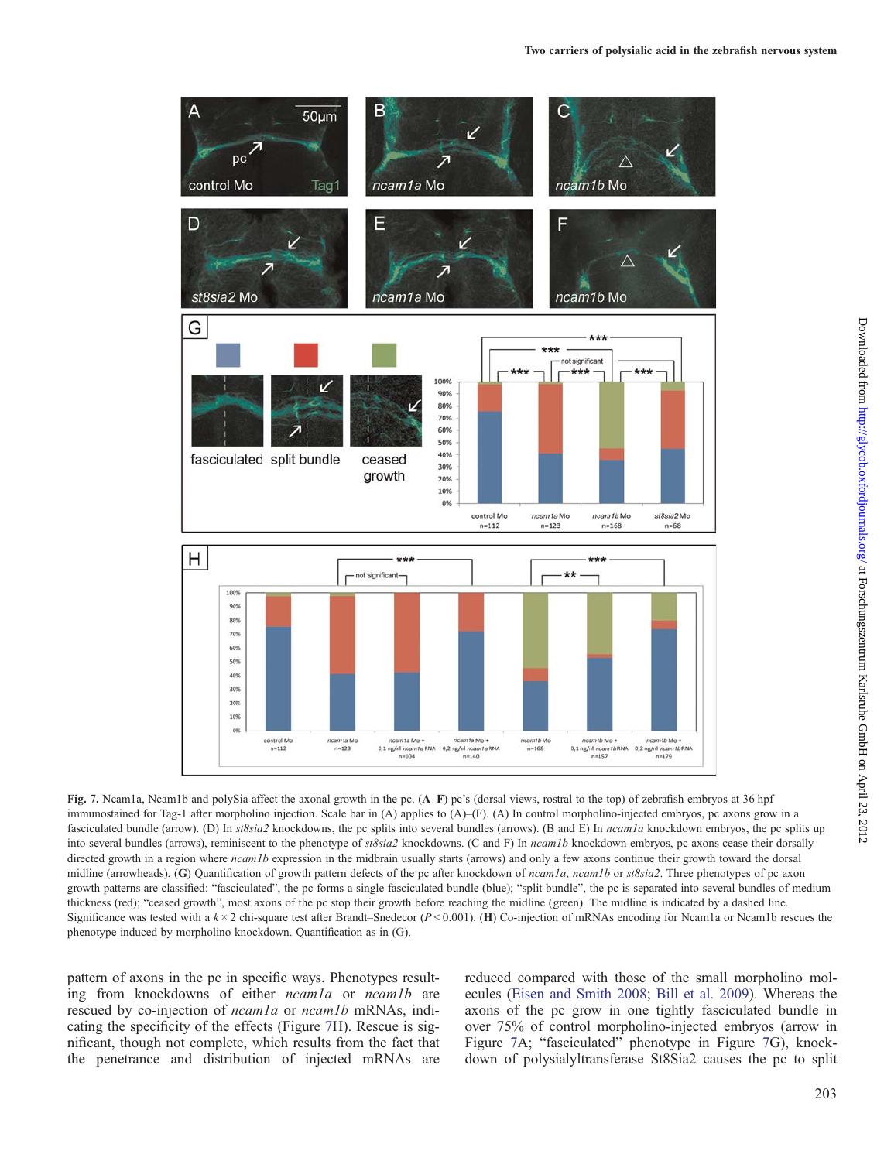<span id="page-7-0"></span>

Fig. 7. Ncam1a, Ncam1b and polySia affect the axonal growth in the pc. (A–F) pc's (dorsal views, rostral to the top) of zebrafish embryos at 36 hpf immunostained for Tag-1 after morpholino injection. Scale bar in (A) applies to (A)–(F). (A) In control morpholino-injected embryos, pc axons grow in a fasciculated bundle (arrow). (D) In *st8sia2* knockdowns, the pc splits into several bundles (arrows). (B and E) In *ncam1a* knockdown embryos, the pc splits up into several bundles (arrows), reminiscent to the phenotype of st8sia2 knockdowns. (C and F) In ncam1b knockdown embryos, pc axons cease their dorsally directed growth in a region where *ncam1b* expression in the midbrain usually starts (arrows) and only a few axons continue their growth toward the dorsal midline (arrowheads). (G) Quantification of growth pattern defects of the pc after knockdown of *ncam1a*, *ncam1b* or  $st8sia2$ . Three phenotypes of pc axon growth patterns are classified: "fasciculated", the pc forms a single fasciculated bundle (blue); "split bundle", the pc is separated into several bundles of medium thickness (red); "ceased growth", most axons of the pc stop their growth before reaching the midline (green). The midline is indicated by a dashed line. Significance was tested with a  $k \times 2$  chi-square test after Brandt–Snedecor ( $P < 0.001$ ). (H) Co-injection of mRNAs encoding for Ncam1a or Ncam1b rescues the phenotype induced by morpholino knockdown. Quantification as in (G).

pattern of axons in the pc in specific ways. Phenotypes resulting from knockdowns of either *ncamla* or *ncamlb* are rescued by co-injection of *ncam1a* or *ncam1b* mRNAs, indicating the specificity of the effects (Figure 7H). Rescue is significant, though not complete, which results from the fact that the penetrance and distribution of injected mRNAs are

reduced compared with those of the small morpholino molecules ([Eisen and Smith 2008;](#page-12-0) [Bill et al. 2009\)](#page-12-0). Whereas the axons of the pc grow in one tightly fasciculated bundle in over 75% of control morpholino-injected embryos (arrow in Figure 7A; "fasciculated" phenotype in Figure 7G), knockdown of polysialyltransferase St8Sia2 causes the pc to split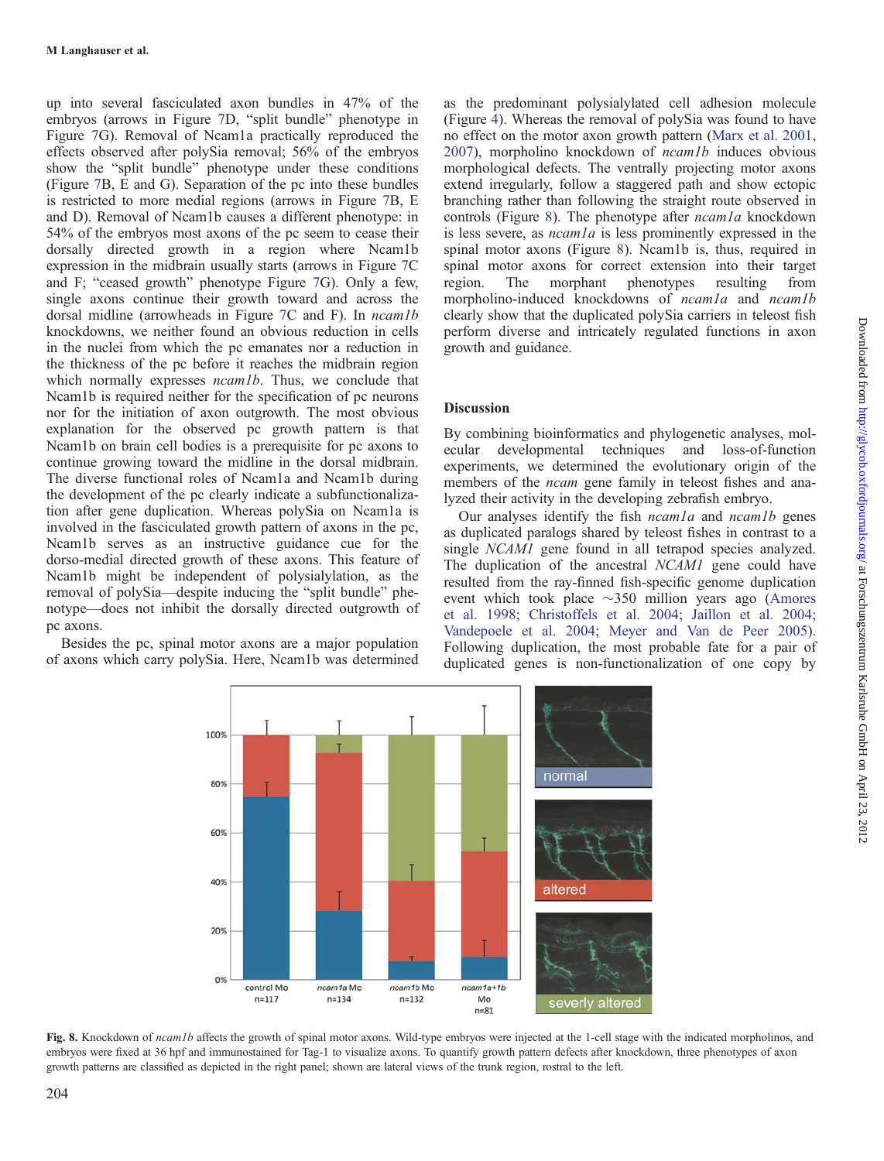up into several fasciculated axon bundles in 47% of the embryos (arrows in Figure [7D](#page-7-0), "split bundle" phenotype in Figure [7G](#page-7-0)). Removal of Ncam1a practically reproduced the effects observed after polySia removal; 56% of the embryos show the "split bundle" phenotype under these conditions (Figure [7](#page-7-0)B, E and G). Separation of the pc into these bundles is restricted to more medial regions (arrows in Figure [7B](#page-7-0), E and D). Removal of Ncam1b causes a different phenotype: in 54% of the embryos most axons of the pc seem to cease their dorsally directed growth in a region where Ncam1b expression in the midbrain usually starts (arrows in Figure [7](#page-7-0)C and F; "ceased growth" phenotype Figure [7G](#page-7-0)). Only a few, single axons continue their growth toward and across the dorsal midline (arrowheads in Figure [7](#page-7-0)C and F). In *ncam1b* knockdowns, we neither found an obvious reduction in cells in the nuclei from which the pc emanates nor a reduction in the thickness of the pc before it reaches the midbrain region which normally expresses *ncam1b*. Thus, we conclude that Ncam1b is required neither for the specification of pc neurons nor for the initiation of axon outgrowth. The most obvious explanation for the observed pc growth pattern is that Ncam1b on brain cell bodies is a prerequisite for pc axons to continue growing toward the midline in the dorsal midbrain. The diverse functional roles of Ncam1a and Ncam1b during the development of the pc clearly indicate a subfunctionalization after gene duplication. Whereas polySia on Ncam1a is involved in the fasciculated growth pattern of axons in the pc, Ncam1b serves as an instructive guidance cue for the dorso-medial directed growth of these axons. This feature of Ncam1b might be independent of polysialylation, as the removal of polySia—despite inducing the "split bundle" phenotype—does not inhibit the dorsally directed outgrowth of pc axons.

Besides the pc, spinal motor axons are a major population of axons which carry polySia. Here, Ncam1b was determined as the predominant polysialylated cell adhesion molecule (Figure [4\)](#page-4-0). Whereas the removal of polySia was found to have no effect on the motor axon growth pattern ([Marx et al. 2001](#page-13-0), [2007](#page-13-0)), morpholino knockdown of ncam1b induces obvious morphological defects. The ventrally projecting motor axons extend irregularly, follow a staggered path and show ectopic branching rather than following the straight route observed in controls (Figure 8). The phenotype after *ncam1a* knockdown is less severe, as  $ncam1a$  is less prominently expressed in the spinal motor axons (Figure 8). Ncam1b is, thus, required in spinal motor axons for correct extension into their target<br>region. The morphant phenotypes resulting from region. The morphant phenotypes resulting from morpholino-induced knockdowns of *ncam1a* and *ncam1b* clearly show that the duplicated polySia carriers in teleost fish perform diverse and intricately regulated functions in axon growth and guidance.

# Discussion

By combining bioinformatics and phylogenetic analyses, molecular developmental techniques and loss-of-function experiments, we determined the evolutionary origin of the members of the ncam gene family in teleost fishes and analyzed their activity in the developing zebrafish embryo.

Our analyses identify the fish *ncamla* and *ncamlb* genes as duplicated paralogs shared by teleost fishes in contrast to a single NCAM1 gene found in all tetrapod species analyzed. The duplication of the ancestral NCAM1 gene could have resulted from the ray-finned fish-specific genome duplication event which took place  $\sim$ 350 million years ago ([Amores](#page-12-0) [et al. 1998;](#page-12-0) [Christoffels et al. 2004](#page-12-0); [Jaillon et al. 2004](#page-12-0); [Vandepoele et al. 2004](#page-13-0); [Meyer and Van de Peer 2005](#page-13-0)). Following duplication, the most probable fate for a pair of duplicated genes is non-functionalization of one copy by



Fig. 8. Knockdown of ncam1b affects the growth of spinal motor axons. Wild-type embryos were injected at the 1-cell stage with the indicated morpholinos, and embryos were fixed at 36 hpf and immunostained for Tag-1 to visualize axons. To quantify growth pattern defects after knockdown, three phenotypes of axon growth patterns are classified as depicted in the right panel; shown are lateral views of the trunk region, rostral to the left.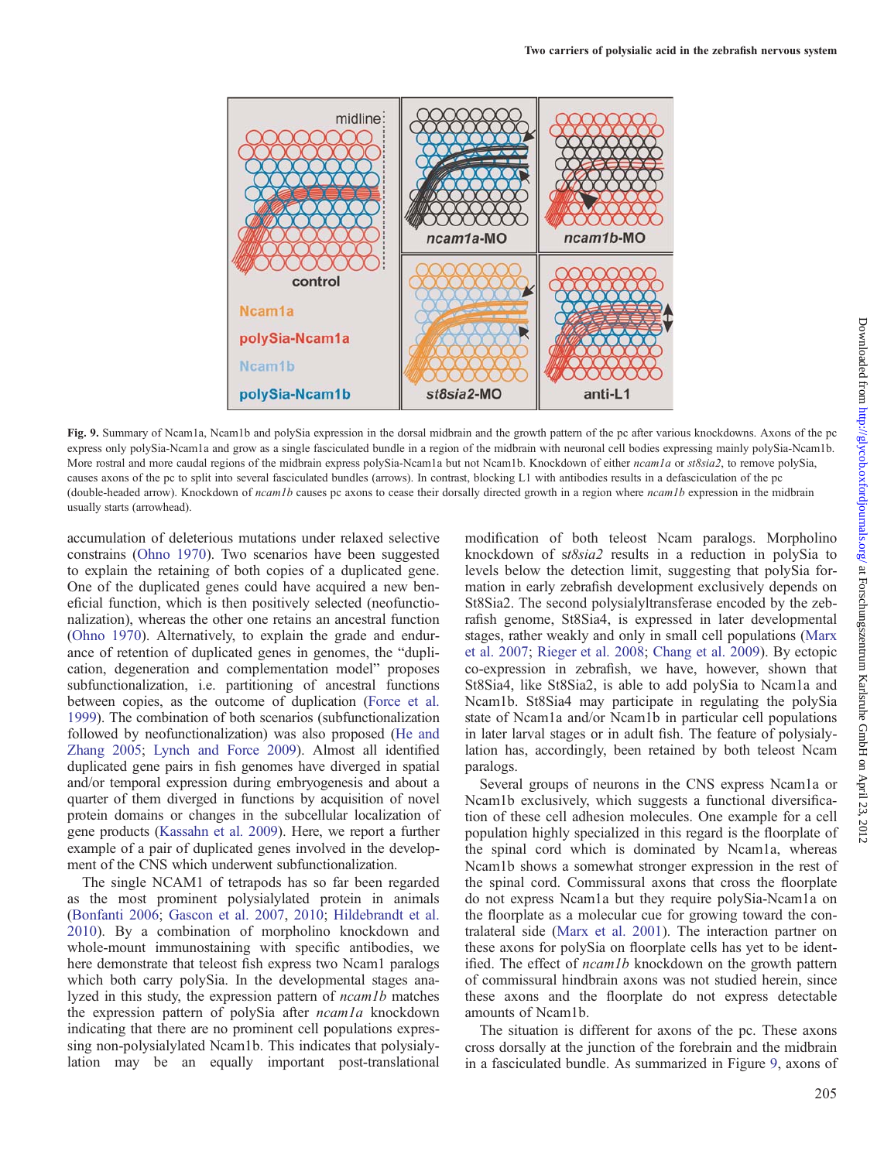<span id="page-9-0"></span>

Fig. 9. Summary of Ncam1a, Ncam1b and polySia expression in the dorsal midbrain and the growth pattern of the pc after various knockdowns. Axons of the pc express only polySia-Ncam1a and grow as a single fasciculated bundle in a region of the midbrain with neuronal cell bodies expressing mainly polySia-Ncam1b. More rostral and more caudal regions of the midbrain express polySia-Ncam1a but not Ncam1b. Knockdown of either ncam1a or st8sia2, to remove polySia, causes axons of the pc to split into several fasciculated bundles (arrows). In contrast, blocking L1 with antibodies results in a defasciculation of the pc (double-headed arrow). Knockdown of  $ncam1b$  causes pc axons to cease their dorsally directed growth in a region where  $ncam1b$  expression in the midbrain usually starts (arrowhead).

accumulation of deleterious mutations under relaxed selective constrains ([Ohno 1970](#page-13-0)). Two scenarios have been suggested to explain the retaining of both copies of a duplicated gene. One of the duplicated genes could have acquired a new beneficial function, which is then positively selected (neofunctionalization), whereas the other one retains an ancestral function ([Ohno 1970](#page-13-0)). Alternatively, to explain the grade and endurance of retention of duplicated genes in genomes, the "duplication, degeneration and complementation model" proposes subfunctionalization, i.e. partitioning of ancestral functions between copies, as the outcome of duplication [\(Force et al.](#page-12-0) [1999](#page-12-0)). The combination of both scenarios (subfunctionalization followed by neofunctionalization) was also proposed [\(He and](#page-12-0) [Zhang 2005](#page-12-0); [Lynch and Force 2009\)](#page-13-0). Almost all identified duplicated gene pairs in fish genomes have diverged in spatial and/or temporal expression during embryogenesis and about a quarter of them diverged in functions by acquisition of novel protein domains or changes in the subcellular localization of gene products [\(Kassahn et al. 2009](#page-12-0)). Here, we report a further example of a pair of duplicated genes involved in the development of the CNS which underwent subfunctionalization.

The single NCAM1 of tetrapods has so far been regarded as the most prominent polysialylated protein in animals ([Bonfanti 2006](#page-12-0); [Gascon et al. 2007,](#page-12-0) [2010](#page-12-0); [Hildebrandt et al.](#page-12-0) [2010](#page-12-0)). By a combination of morpholino knockdown and whole-mount immunostaining with specific antibodies, we here demonstrate that teleost fish express two Ncam1 paralogs which both carry polySia. In the developmental stages analyzed in this study, the expression pattern of ncam1b matches the expression pattern of polySia after *ncam1a* knockdown indicating that there are no prominent cell populations expressing non-polysialylated Ncam1b. This indicates that polysialylation may be an equally important post-translational modification of both teleost Ncam paralogs. Morpholino knockdown of st8sia2 results in a reduction in polySia to levels below the detection limit, suggesting that polySia formation in early zebrafish development exclusively depends on St8Sia2. The second polysialyltransferase encoded by the zebrafish genome, St8Sia4, is expressed in later developmental stages, rather weakly and only in small cell populations ([Marx](#page-13-0) [et al. 2007](#page-13-0); [Rieger et al. 2008](#page-13-0); [Chang et al. 2009](#page-12-0)). By ectopic co-expression in zebrafish, we have, however, shown that St8Sia4, like St8Sia2, is able to add polySia to Ncam1a and Ncam1b. St8Sia4 may participate in regulating the polySia state of Ncam1a and/or Ncam1b in particular cell populations in later larval stages or in adult fish. The feature of polysialylation has, accordingly, been retained by both teleost Ncam paralogs.

Several groups of neurons in the CNS express Ncam1a or Ncam1b exclusively, which suggests a functional diversification of these cell adhesion molecules. One example for a cell population highly specialized in this regard is the floorplate of the spinal cord which is dominated by Ncam1a, whereas Ncam1b shows a somewhat stronger expression in the rest of the spinal cord. Commissural axons that cross the floorplate do not express Ncam1a but they require polySia-Ncam1a on the floorplate as a molecular cue for growing toward the contralateral side [\(Marx et al. 2001](#page-13-0)). The interaction partner on these axons for polySia on floorplate cells has yet to be identified. The effect of *ncam1b* knockdown on the growth pattern of commissural hindbrain axons was not studied herein, since these axons and the floorplate do not express detectable amounts of Ncam1b.

The situation is different for axons of the pc. These axons cross dorsally at the junction of the forebrain and the midbrain in a fasciculated bundle. As summarized in Figure 9, axons of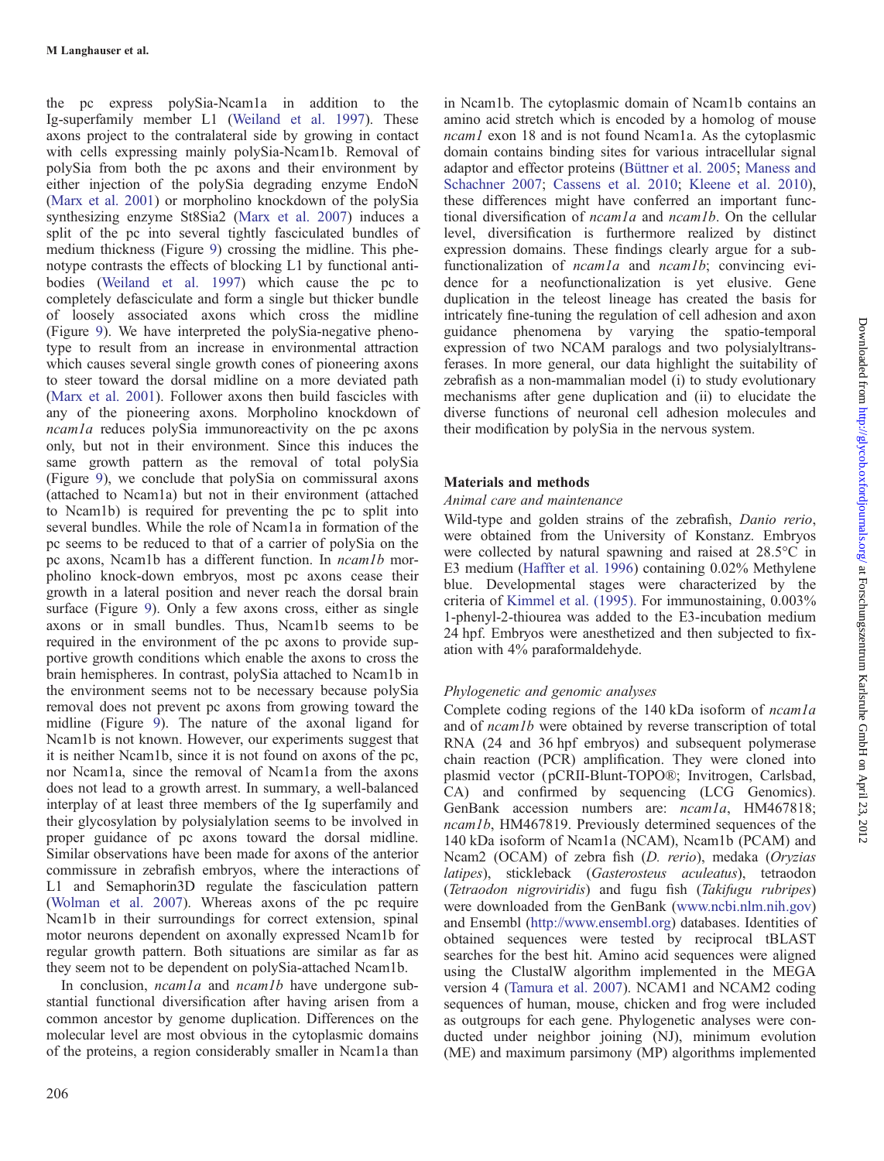the pc express polySia-Ncam1a in addition to the Ig-superfamily member L1 ([Weiland et al. 1997\)](#page-13-0). These axons project to the contralateral side by growing in contact with cells expressing mainly polySia-Ncam1b. Removal of polySia from both the pc axons and their environment by either injection of the polySia degrading enzyme EndoN [\(Marx et al. 2001](#page-13-0)) or morpholino knockdown of the polySia synthesizing enzyme St8Sia2 ([Marx et al. 2007](#page-13-0)) induces a split of the pc into several tightly fasciculated bundles of medium thickness (Figure [9](#page-9-0)) crossing the midline. This phenotype contrasts the effects of blocking L1 by functional antibodies ([Weiland et al. 1997](#page-13-0)) which cause the pc to completely defasciculate and form a single but thicker bundle of loosely associated axons which cross the midline (Figure [9\)](#page-9-0). We have interpreted the polySia-negative phenotype to result from an increase in environmental attraction which causes several single growth cones of pioneering axons to steer toward the dorsal midline on a more deviated path [\(Marx et al. 2001\)](#page-13-0). Follower axons then build fascicles with any of the pioneering axons. Morpholino knockdown of ncam1a reduces polySia immunoreactivity on the pc axons only, but not in their environment. Since this induces the same growth pattern as the removal of total polySia (Figure [9\)](#page-9-0), we conclude that polySia on commissural axons (attached to Ncam1a) but not in their environment (attached to Ncam1b) is required for preventing the pc to split into several bundles. While the role of Ncam1a in formation of the pc seems to be reduced to that of a carrier of polySia on the pc axons, Ncam1b has a different function. In ncam1b morpholino knock-down embryos, most pc axons cease their growth in a lateral position and never reach the dorsal brain surface (Figure [9](#page-9-0)). Only a few axons cross, either as single axons or in small bundles. Thus, Ncam1b seems to be required in the environment of the pc axons to provide supportive growth conditions which enable the axons to cross the brain hemispheres. In contrast, polySia attached to Ncam1b in the environment seems not to be necessary because polySia removal does not prevent pc axons from growing toward the midline (Figure [9](#page-9-0)). The nature of the axonal ligand for Ncam1b is not known. However, our experiments suggest that it is neither Ncam1b, since it is not found on axons of the pc, nor Ncam1a, since the removal of Ncam1a from the axons does not lead to a growth arrest. In summary, a well-balanced interplay of at least three members of the Ig superfamily and their glycosylation by polysialylation seems to be involved in proper guidance of pc axons toward the dorsal midline. Similar observations have been made for axons of the anterior commissure in zebrafish embryos, where the interactions of L1 and Semaphorin3D regulate the fasciculation pattern [\(Wolman et al. 2007](#page-13-0)). Whereas axons of the pc require Ncam1b in their surroundings for correct extension, spinal motor neurons dependent on axonally expressed Ncam1b for regular growth pattern. Both situations are similar as far as they seem not to be dependent on polySia-attached Ncam1b.

In conclusion, *ncam1a* and *ncam1b* have undergone substantial functional diversification after having arisen from a common ancestor by genome duplication. Differences on the molecular level are most obvious in the cytoplasmic domains of the proteins, a region considerably smaller in Ncam1a than

in Ncam1b. The cytoplasmic domain of Ncam1b contains an amino acid stretch which is encoded by a homolog of mouse ncam1 exon 18 and is not found Ncam1a. As the cytoplasmic domain contains binding sites for various intracellular signal adaptor and effector proteins ([Büttner et al. 2005](#page-12-0); [Maness and](#page-13-0) [Schachner 2007](#page-13-0); [Cassens et al. 2010;](#page-12-0) [Kleene et al. 2010](#page-12-0)), these differences might have conferred an important functional diversification of  $ncam1a$  and  $ncam1b$ . On the cellular level, diversification is furthermore realized by distinct expression domains. These findings clearly argue for a subfunctionalization of *ncam1a* and *ncam1b*; convincing evidence for a neofunctionalization is yet elusive. Gene duplication in the teleost lineage has created the basis for intricately fine-tuning the regulation of cell adhesion and axon guidance phenomena by varying the spatio-temporal expression of two NCAM paralogs and two polysialyltransferases. In more general, our data highlight the suitability of zebrafish as a non-mammalian model (i) to study evolutionary mechanisms after gene duplication and (ii) to elucidate the diverse functions of neuronal cell adhesion molecules and their modification by polySia in the nervous system.

# Materials and methods

# Animal care and maintenance

Wild-type and golden strains of the zebrafish, Danio rerio, were obtained from the University of Konstanz. Embryos were collected by natural spawning and raised at 28.5°C in E3 medium [\(Haffter et al. 1996\)](#page-12-0) containing 0.02% Methylene blue. Developmental stages were characterized by the criteria of [Kimmel et al. \(1995\).](#page-12-0) For immunostaining, 0.003% 1-phenyl-2-thiourea was added to the E3-incubation medium 24 hpf. Embryos were anesthetized and then subjected to fixation with 4% paraformaldehyde.

# Phylogenetic and genomic analyses

Complete coding regions of the 140 kDa isoform of ncam1a and of ncam1b were obtained by reverse transcription of total RNA (24 and 36 hpf embryos) and subsequent polymerase chain reaction (PCR) amplification. They were cloned into plasmid vector ( pCRII-Blunt-TOPO®; Invitrogen, Carlsbad, CA) and confirmed by sequencing (LCG Genomics). GenBank accession numbers are: *ncam1a*, HM467818; ncam1b, HM467819. Previously determined sequences of the 140 kDa isoform of Ncam1a (NCAM), Ncam1b (PCAM) and Ncam2 (OCAM) of zebra fish (D. rerio), medaka (Oryzias latipes), stickleback (Gasterosteus aculeatus), tetraodon (Tetraodon nigroviridis) and fugu fish (Takifugu rubripes) were downloaded from the GenBank ([www.ncbi.nlm.nih.gov\)](www.ncbi.nlm.nih.gov) and Ensembl (<http://www.ensembl.org>) databases. Identities of obtained sequences were tested by reciprocal tBLAST searches for the best hit. Amino acid sequences were aligned using the ClustalW algorithm implemented in the MEGA version 4 [\(Tamura et al. 2007\)](#page-13-0). NCAM1 and NCAM2 coding sequences of human, mouse, chicken and frog were included as outgroups for each gene. Phylogenetic analyses were conducted under neighbor joining (NJ), minimum evolution (ME) and maximum parsimony (MP) algorithms implemented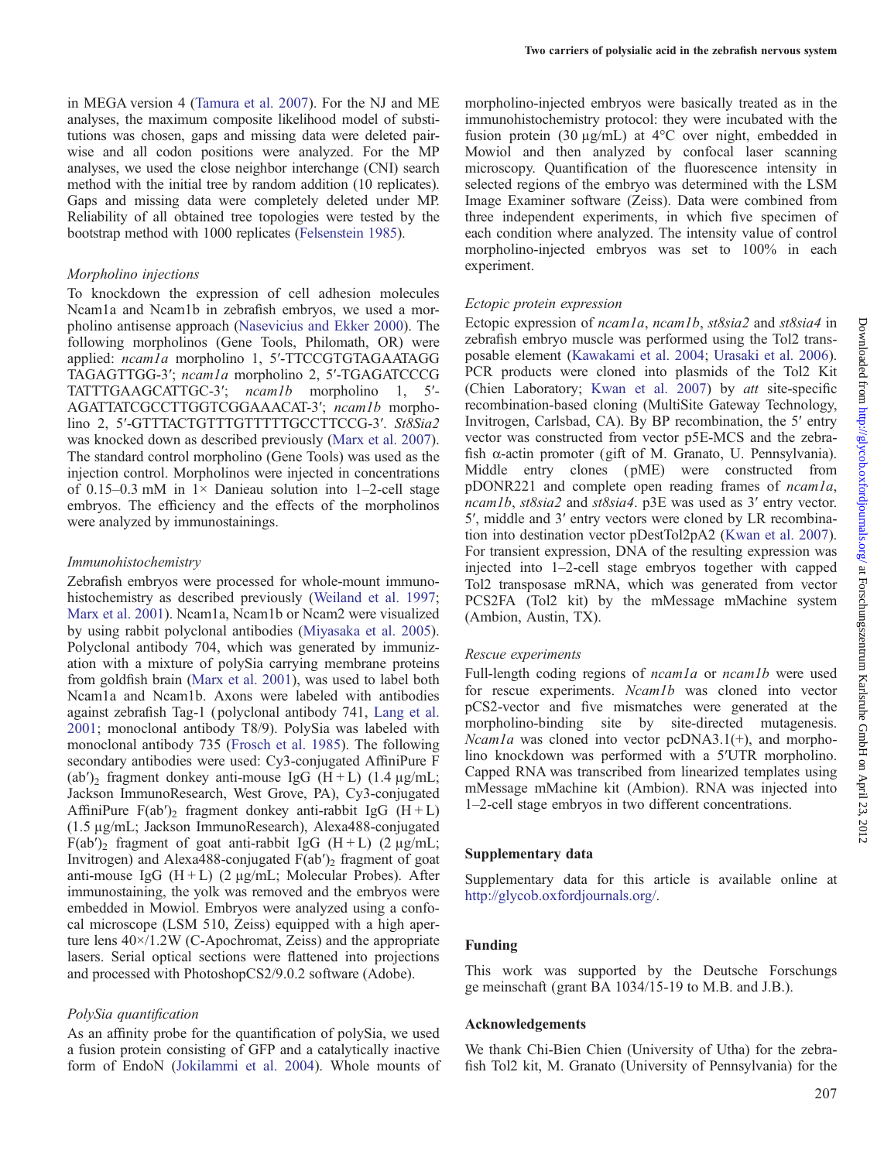in MEGA version 4 ([Tamura et al. 2007\)](#page-13-0). For the NJ and ME analyses, the maximum composite likelihood model of substitutions was chosen, gaps and missing data were deleted pairwise and all codon positions were analyzed. For the MP analyses, we used the close neighbor interchange (CNI) search method with the initial tree by random addition (10 replicates). Gaps and missing data were completely deleted under MP. Reliability of all obtained tree topologies were tested by the bootstrap method with 1000 replicates ([Felsenstein 1985\)](#page-12-0).

#### Morpholino injections

To knockdown the expression of cell adhesion molecules Ncam1a and Ncam1b in zebrafish embryos, we used a morpholino antisense approach ([Nasevicius and Ekker 2000\)](#page-13-0). The following morpholinos (Gene Tools, Philomath, OR) were applied: ncam1a morpholino 1, 5'-TTCCGTGTAGAATAGG TAGAGTTGG-3′; ncam1a morpholino 2, 5′-TGAGATCCCG TATTTGAAGCATTGC-3′; ncam1b morpholino 1, 5′- AGATTATCGCCTTGGTCGGAAACAT-3′; ncam1b morpholino 2, 5'-GTTTACTGTTTGTTTTTGCCTTCCG-3'. St8Sia2 was knocked down as described previously ([Marx et al. 2007](#page-13-0)). The standard control morpholino (Gene Tools) was used as the injection control. Morpholinos were injected in concentrations of 0.15–0.3 mM in  $1\times$  Danieau solution into 1–2-cell stage embryos. The efficiency and the effects of the morpholinos were analyzed by immunostainings.

#### Immunohistochemistry

Zebrafish embryos were processed for whole-mount immunohistochemistry as described previously [\(Weiland et al. 1997](#page-13-0); [Marx et al. 2001\)](#page-13-0). Ncam1a, Ncam1b or Ncam2 were visualized by using rabbit polyclonal antibodies [\(Miyasaka et al. 2005](#page-13-0)). Polyclonal antibody 704, which was generated by immunization with a mixture of polySia carrying membrane proteins from goldfish brain [\(Marx et al. 2001\)](#page-13-0), was used to label both Ncam1a and Ncam1b. Axons were labeled with antibodies against zebrafish Tag-1 ( polyclonal antibody 741, [Lang et al.](#page-13-0) [2001](#page-13-0); monoclonal antibody T8/9). PolySia was labeled with monoclonal antibody 735 ([Frosch et al. 1985\)](#page-12-0). The following secondary antibodies were used: Cy3-conjugated AffiniPure F (ab')<sub>2</sub> fragment donkey anti-mouse IgG  $(H+L)$  (1.4  $\mu$ g/mL; Jackson ImmunoResearch, West Grove, PA), Cy3-conjugated AffiniPure  $F(ab')_2$  fragment donkey anti-rabbit IgG  $(H + L)$ (1.5 µg/mL; Jackson ImmunoResearch), Alexa488-conjugated  $F(ab')_2$  fragment of goat anti-rabbit IgG (H + L) (2 µg/mL; Invitrogen) and Alexa488-conjugated  $F(ab')$  fragment of goat anti-mouse IgG  $(H + L)$  (2 µg/mL; Molecular Probes). After immunostaining, the yolk was removed and the embryos were embedded in Mowiol. Embryos were analyzed using a confocal microscope (LSM 510, Zeiss) equipped with a high aperture lens 40×/1.2W (C-Apochromat, Zeiss) and the appropriate lasers. Serial optical sections were flattened into projections and processed with PhotoshopCS2/9.0.2 software (Adobe).

#### PolySia quantification

As an affinity probe for the quantification of polySia, we used a fusion protein consisting of GFP and a catalytically inactive form of EndoN ([Jokilammi et al. 2004\)](#page-12-0). Whole mounts of morpholino-injected embryos were basically treated as in the immunohistochemistry protocol: they were incubated with the fusion protein (30 µg/mL) at 4°C over night, embedded in Mowiol and then analyzed by confocal laser scanning microscopy. Quantification of the fluorescence intensity in selected regions of the embryo was determined with the LSM Image Examiner software (Zeiss). Data were combined from three independent experiments, in which five specimen of each condition where analyzed. The intensity value of control morpholino-injected embryos was set to 100% in each experiment.

#### Ectopic protein expression

Ectopic expression of ncam1a, ncam1b, st8sia2 and st8sia4 in zebrafish embryo muscle was performed using the Tol2 transposable element [\(Kawakami et al. 2004;](#page-12-0) [Urasaki et al. 2006](#page-13-0)). PCR products were cloned into plasmids of the Tol2 Kit (Chien Laboratory; [Kwan et al. 2007](#page-12-0)) by *att* site-specific recombination-based cloning (MultiSite Gateway Technology, Invitrogen, Carlsbad, CA). By BP recombination, the 5′ entry vector was constructed from vector p5E-MCS and the zebrafish α-actin promoter (gift of M. Granato, U. Pennsylvania). Middle entry clones (pME) were constructed from pDONR221 and complete open reading frames of ncam1a, ncam1b, st8sia2 and st8sia4. p3E was used as 3' entry vector. 5′, middle and 3′ entry vectors were cloned by LR recombination into destination vector pDestTol2pA2 ([Kwan et al. 2007](#page-12-0)). For transient expression, DNA of the resulting expression was injected into 1–2-cell stage embryos together with capped Tol2 transposase mRNA, which was generated from vector PCS2FA (Tol2 kit) by the mMessage mMachine system (Ambion, Austin, TX).

## Rescue experiments

Full-length coding regions of *ncam1a* or *ncam1b* were used for rescue experiments. Ncam1b was cloned into vector pCS2-vector and five mismatches were generated at the morpholino-binding site by site-directed mutagenesis.  $Ncam1a$  was cloned into vector pcDNA3.1(+), and morpholino knockdown was performed with a 5′UTR morpholino. Capped RNA was transcribed from linearized templates using mMessage mMachine kit (Ambion). RNA was injected into 1–2-cell stage embryos in two different concentrations.

#### Supplementary data

[Supplementary data for this article is available online at](http://glycob.oxfordjournals.org/lookup/suppl/doi:10.1093/glycob/cwr129/-/DC1) <http://glycob.oxfordjournals.org/>.

#### Funding

This work was supported by the Deutsche Forschungs ge meinschaft (grant BA 1034/15-19 to M.B. and J.B.).

#### Acknowledgements

We thank Chi-Bien Chien (University of Utha) for the zebrafish Tol2 kit, M. Granato (University of Pennsylvania) for the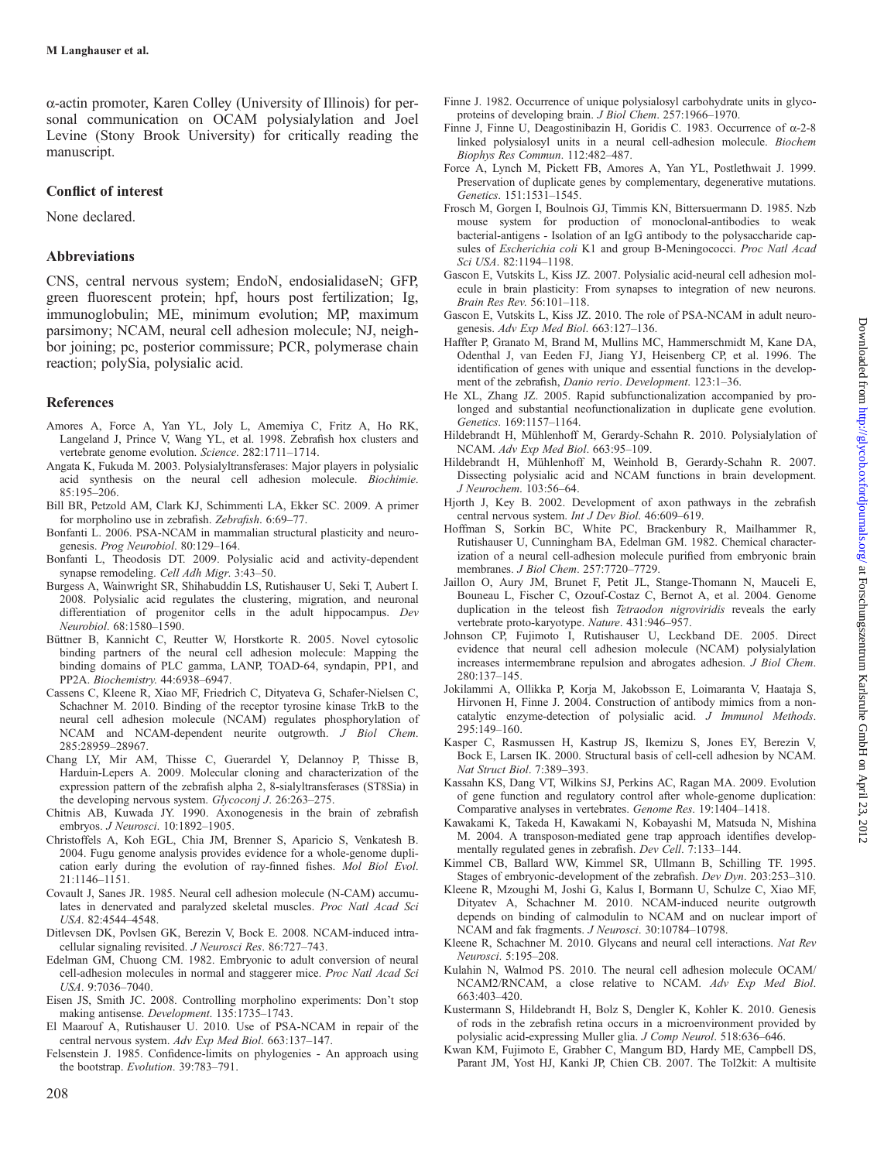<span id="page-12-0"></span>α-actin promoter, Karen Colley (University of Illinois) for personal communication on OCAM polysialylation and Joel Levine (Stony Brook University) for critically reading the manuscript.

# Conflict of interest

None declared.

# Abbreviations

CNS, central nervous system; EndoN, endosialidaseN; GFP, green fluorescent protein; hpf, hours post fertilization; Ig, immunoglobulin; ME, minimum evolution; MP, maximum parsimony; NCAM, neural cell adhesion molecule; NJ, neighbor joining; pc, posterior commissure; PCR, polymerase chain reaction; polySia, polysialic acid.

## References

- Amores A, Force A, Yan YL, Joly L, Amemiya C, Fritz A, Ho RK, Langeland J, Prince V, Wang YL, et al. 1998. Zebrafish hox clusters and vertebrate genome evolution. Science. 282:1711–1714.
- Angata K, Fukuda M. 2003. Polysialyltransferases: Major players in polysialic acid synthesis on the neural cell adhesion molecule. Biochimie. 85:195–206.
- Bill BR, Petzold AM, Clark KJ, Schimmenti LA, Ekker SC. 2009. A primer for morpholino use in zebrafish. Zebrafish. 6:69–77.
- Bonfanti L. 2006. PSA-NCAM in mammalian structural plasticity and neurogenesis. Prog Neurobiol. 80:129–164.
- Bonfanti L, Theodosis DT. 2009. Polysialic acid and activity-dependent synapse remodeling. Cell Adh Migr. 3:43–50.
- Burgess A, Wainwright SR, Shihabuddin LS, Rutishauser U, Seki T, Aubert I. 2008. Polysialic acid regulates the clustering, migration, and neuronal differentiation of progenitor cells in the adult hippocampus. Dev Neurobiol. 68:1580–1590.
- Büttner B, Kannicht C, Reutter W, Horstkorte R. 2005. Novel cytosolic binding partners of the neural cell adhesion molecule: Mapping the binding domains of PLC gamma, LANP, TOAD-64, syndapin, PP1, and PP2A. Biochemistry. 44:6938–6947.
- Cassens C, Kleene R, Xiao MF, Friedrich C, Dityateva G, Schafer-Nielsen C, Schachner M. 2010. Binding of the receptor tyrosine kinase TrkB to the neural cell adhesion molecule (NCAM) regulates phosphorylation of NCAM and NCAM-dependent neurite outgrowth. J Biol Chem. 285:28959–28967.
- Chang LY, Mir AM, Thisse C, Guerardel Y, Delannoy P, Thisse B, Harduin-Lepers A. 2009. Molecular cloning and characterization of the expression pattern of the zebrafish alpha 2, 8-sialyltransferases (ST8Sia) in the developing nervous system. Glycoconj J. 26:263-275.
- Chitnis AB, Kuwada JY. 1990. Axonogenesis in the brain of zebrafish embryos. J Neurosci. 10:1892–1905.
- Christoffels A, Koh EGL, Chia JM, Brenner S, Aparicio S, Venkatesh B. 2004. Fugu genome analysis provides evidence for a whole-genome duplication early during the evolution of ray-finned fishes. Mol Biol Evol. 21:1146–1151.
- Covault J, Sanes JR. 1985. Neural cell adhesion molecule (N-CAM) accumulates in denervated and paralyzed skeletal muscles. Proc Natl Acad Sci USA. 82:4544–4548.
- Ditlevsen DK, Povlsen GK, Berezin V, Bock E. 2008. NCAM-induced intracellular signaling revisited. J Neurosci Res. 86:727–743.
- Edelman GM, Chuong CM. 1982. Embryonic to adult conversion of neural cell-adhesion molecules in normal and staggerer mice. Proc Natl Acad Sci USA. 9:7036–7040.
- Eisen JS, Smith JC. 2008. Controlling morpholino experiments: Don't stop making antisense. Development. 135:1735–1743.
- El Maarouf A, Rutishauser U. 2010. Use of PSA-NCAM in repair of the central nervous system. Adv Exp Med Biol. 663:137–147.
- Felsenstein J. 1985. Confidence-limits on phylogenies An approach using the bootstrap. Evolution. 39:783–791.
- Finne J. 1982. Occurrence of unique polysialosyl carbohydrate units in glycoproteins of developing brain. J Biol Chem. 257:1966–1970.
- Finne J, Finne U, Deagostinibazin H, Goridis C. 1983. Occurrence of  $\alpha$ -2-8 linked polysialosyl units in a neural cell-adhesion molecule. Biochem Biophys Res Commun. 112:482–487.
- Force A, Lynch M, Pickett FB, Amores A, Yan YL, Postlethwait J. 1999. Preservation of duplicate genes by complementary, degenerative mutations. Genetics. 151:1531–1545.
- Frosch M, Gorgen I, Boulnois GJ, Timmis KN, Bittersuermann D. 1985. Nzb mouse system for production of monoclonal-antibodies to weak bacterial-antigens - Isolation of an IgG antibody to the polysaccharide capsules of Escherichia coli K1 and group B-Meningococci. Proc Natl Acad Sci USA. 82:1194–1198.
- Gascon E, Vutskits L, Kiss JZ. 2007. Polysialic acid-neural cell adhesion molecule in brain plasticity: From synapses to integration of new neurons. Brain Res Rev. 56:101–118.
- Gascon E, Vutskits L, Kiss JZ. 2010. The role of PSA-NCAM in adult neurogenesis. Adv Exp Med Biol. 663:127–136.
- Haffter P, Granato M, Brand M, Mullins MC, Hammerschmidt M, Kane DA, Odenthal J, van Eeden FJ, Jiang YJ, Heisenberg CP, et al. 1996. The identification of genes with unique and essential functions in the development of the zebrafish, Danio rerio. Development. 123:1–36.
- He XL, Zhang JZ. 2005. Rapid subfunctionalization accompanied by prolonged and substantial neofunctionalization in duplicate gene evolution. Genetics. 169:1157–1164.
- Hildebrandt H, Mühlenhoff M, Gerardy-Schahn R. 2010. Polysialylation of NCAM. Adv Exp Med Biol. 663:95–109.
- Hildebrandt H, Mühlenhoff M, Weinhold B, Gerardy-Schahn R. 2007. Dissecting polysialic acid and NCAM functions in brain development. J Neurochem. 103:56–64.
- Hjorth J, Key B. 2002. Development of axon pathways in the zebrafish central nervous system. Int J Dev Biol. 46:609–619.
- Hoffman S, Sorkin BC, White PC, Brackenbury R, Mailhammer R, Rutishauser U, Cunningham BA, Edelman GM. 1982. Chemical characterization of a neural cell-adhesion molecule purified from embryonic brain membranes. J Biol Chem. 257:7720–7729.
- Jaillon O, Aury JM, Brunet F, Petit JL, Stange-Thomann N, Mauceli E, Bouneau L, Fischer C, Ozouf-Costaz C, Bernot A, et al. 2004. Genome duplication in the teleost fish Tetraodon nigroviridis reveals the early vertebrate proto-karyotype. Nature. 431:946–957.
- Johnson CP, Fujimoto I, Rutishauser U, Leckband DE. 2005. Direct evidence that neural cell adhesion molecule (NCAM) polysialylation increases intermembrane repulsion and abrogates adhesion. J Biol Chem. 280:137–145.
- Jokilammi A, Ollikka P, Korja M, Jakobsson E, Loimaranta V, Haataja S, Hirvonen H, Finne J. 2004. Construction of antibody mimics from a noncatalytic enzyme-detection of polysialic acid. J Immunol Methods.  $295:149-160$
- Kasper C, Rasmussen H, Kastrup JS, Ikemizu S, Jones EY, Berezin V, Bock E, Larsen IK. 2000. Structural basis of cell-cell adhesion by NCAM. Nat Struct Biol. 7:389–393.
- Kassahn KS, Dang VT, Wilkins SJ, Perkins AC, Ragan MA. 2009. Evolution of gene function and regulatory control after whole-genome duplication: Comparative analyses in vertebrates. Genome Res. 19:1404–1418.
- Kawakami K, Takeda H, Kawakami N, Kobayashi M, Matsuda N, Mishina M. 2004. A transposon-mediated gene trap approach identifies developmentally regulated genes in zebrafish. Dev Cell. 7:133–144.
- Kimmel CB, Ballard WW, Kimmel SR, Ullmann B, Schilling TF. 1995. Stages of embryonic-development of the zebrafish. Dev Dyn. 203:253–310.
- Kleene R, Mzoughi M, Joshi G, Kalus I, Bormann U, Schulze C, Xiao MF, Dityatev A, Schachner M. 2010. NCAM-induced neurite outgrowth depends on binding of calmodulin to NCAM and on nuclear import of NCAM and fak fragments. J Neurosci. 30:10784–10798.
- Kleene R, Schachner M. 2010. Glycans and neural cell interactions. Nat Rev Neurosci. 5:195–208.
- Kulahin N, Walmod PS. 2010. The neural cell adhesion molecule OCAM/ NCAM2/RNCAM, a close relative to NCAM. Adv Exp Med Biol. 663:403–420.
- Kustermann S, Hildebrandt H, Bolz S, Dengler K, Kohler K. 2010. Genesis of rods in the zebrafish retina occurs in a microenvironment provided by polysialic acid-expressing Muller glia. J Comp Neurol. 518:636–646.
- Kwan KM, Fujimoto E, Grabher C, Mangum BD, Hardy ME, Campbell DS, Parant JM, Yost HJ, Kanki JP, Chien CB. 2007. The Tol2kit: A multisite